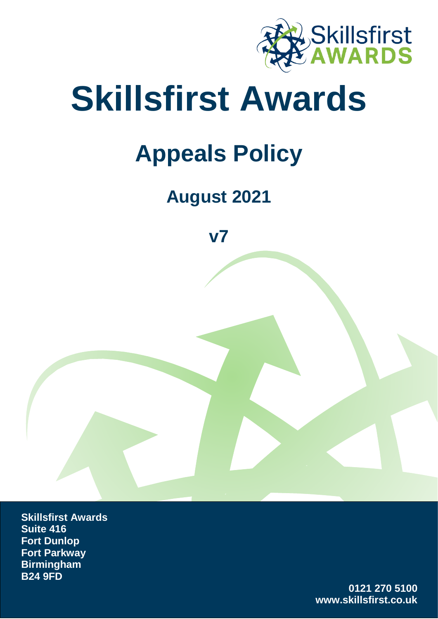

# **Skillsfirst Awards**

## **Appeals Policy**

### **August 2021**

**v7**

**Skillsfirst Awards Suite 416 Fort Dunlop Fort Parkway Birmingham B24 9FD** 

> **0121 270 5100 www.skillsfirst.co.uk**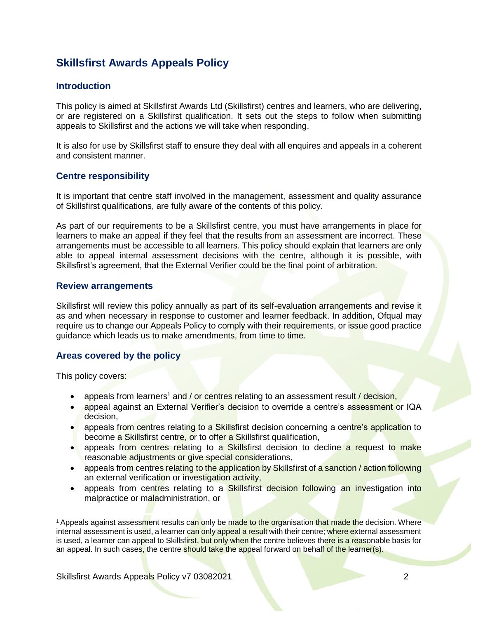#### **Skillsfirst Awards Appeals Policy**

#### **Introduction**

This policy is aimed at Skillsfirst Awards Ltd (Skillsfirst) centres and learners, who are delivering, or are registered on a Skillsfirst qualification. It sets out the steps to follow when submitting appeals to Skillsfirst and the actions we will take when responding.

It is also for use by Skillsfirst staff to ensure they deal with all enquires and appeals in a coherent and consistent manner.

#### **Centre responsibility**

It is important that centre staff involved in the management, assessment and quality assurance of Skillsfirst qualifications, are fully aware of the contents of this policy.

As part of our requirements to be a Skillsfirst centre, you must have arrangements in place for learners to make an appeal if they feel that the results from an assessment are incorrect. These arrangements must be accessible to all learners. This policy should explain that learners are only able to appeal internal assessment decisions with the centre, although it is possible, with Skillsfirst's agreement, that the External Verifier could be the final point of arbitration.

#### **Review arrangements**

Skillsfirst will review this policy annually as part of its self-evaluation arrangements and revise it as and when necessary in response to customer and learner feedback. In addition, Ofqual may require us to change our Appeals Policy to comply with their requirements, or issue good practice guidance which leads us to make amendments, from time to time.

#### **Areas covered by the policy**

This policy covers:

 $\overline{a}$ 

- appeals from learners<sup>1</sup> and / or centres relating to an assessment result / decision,
- appeal against an External Verifier's decision to override a centre's assessment or IQA decision,
- appeals from centres relating to a Skillsfirst decision concerning a centre's application to become a Skillsfirst centre, or to offer a Skillsfirst qualification,
- appeals from centres relating to a Skillsfirst decision to decline a request to make reasonable adjustments or give special considerations,
- appeals from centres relating to the application by Skillsfirst of a sanction / action following an external verification or investigation activity,
- appeals from centres relating to a Skillsfirst decision following an investigation into malpractice or maladministration, or

<sup>&</sup>lt;sup>1</sup> Appeals against assessment results can only be made to the organisation that made the decision. Where internal assessment is used, a learner can only appeal a result with their centre; where external assessment is used, a learner can appeal to Skillsfirst, but only when the centre believes there is a reasonable basis for an appeal. In such cases, the centre should take the appeal forward on behalf of the learner(s).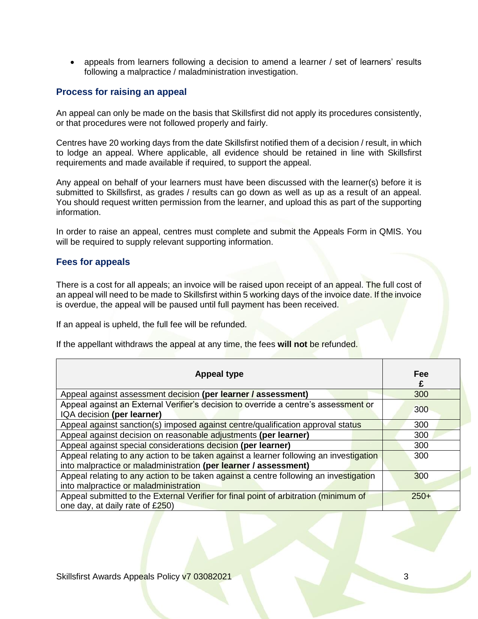• appeals from learners following a decision to amend a learner / set of learners' results following a malpractice / maladministration investigation.

#### **Process for raising an appeal**

An appeal can only be made on the basis that Skillsfirst did not apply its procedures consistently, or that procedures were not followed properly and fairly.

Centres have 20 working days from the date Skillsfirst notified them of a decision / result, in which to lodge an appeal. Where applicable, all evidence should be retained in line with Skillsfirst requirements and made available if required, to support the appeal.

Any appeal on behalf of your learners must have been discussed with the learner(s) before it is submitted to Skillsfirst, as grades / results can go down as well as up as a result of an appeal. You should request written permission from the learner, and upload this as part of the supporting information.

In order to raise an appeal, centres must complete and submit the Appeals Form in QMIS. You will be required to supply relevant supporting information.

#### **Fees for appeals**

There is a cost for all appeals; an invoice will be raised upon receipt of an appeal. The full cost of an appeal will need to be made to Skillsfirst within 5 working days of the invoice date. If the invoice is overdue, the appeal will be paused until full payment has been received.

If an appeal is upheld, the full fee will be refunded.

If the appellant withdraws the appeal at any time, the fees **will not** be refunded.

| <b>Appeal type</b>                                                                                                                                         | Fee<br>£ |
|------------------------------------------------------------------------------------------------------------------------------------------------------------|----------|
| Appeal against assessment decision (per learner / assessment)                                                                                              | 300      |
| Appeal against an External Verifier's decision to override a centre's assessment or<br>IQA decision (per learner)                                          | 300      |
| Appeal against sanction(s) imposed against centre/qualification approval status                                                                            | 300      |
| Appeal against decision on reasonable adjustments (per learner)                                                                                            | 300      |
| Appeal against special considerations decision (per learner)                                                                                               | 300      |
| Appeal relating to any action to be taken against a learner following an investigation<br>into malpractice or maladministration (per learner / assessment) | 300      |
| Appeal relating to any action to be taken against a centre following an investigation<br>into malpractice or maladministration                             | 300      |
| Appeal submitted to the External Verifier for final point of arbitration (minimum of<br>one day, at daily rate of £250)                                    | $250+$   |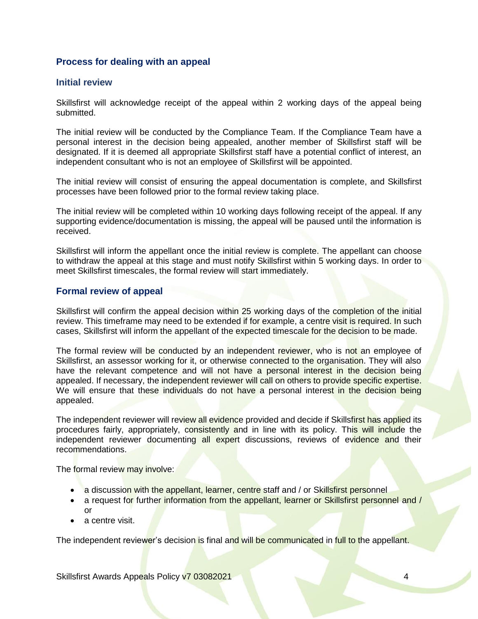#### **Process for dealing with an appeal**

#### **Initial review**

Skillsfirst will acknowledge receipt of the appeal within 2 working days of the appeal being submitted.

The initial review will be conducted by the Compliance Team. If the Compliance Team have a personal interest in the decision being appealed, another member of Skillsfirst staff will be designated. If it is deemed all appropriate Skillsfirst staff have a potential conflict of interest, an independent consultant who is not an employee of Skillsfirst will be appointed.

The initial review will consist of ensuring the appeal documentation is complete, and Skillsfirst processes have been followed prior to the formal review taking place.

The initial review will be completed within 10 working days following receipt of the appeal. If any supporting evidence/documentation is missing, the appeal will be paused until the information is received.

Skillsfirst will inform the appellant once the initial review is complete. The appellant can choose to withdraw the appeal at this stage and must notify Skillsfirst within 5 working days. In order to meet Skillsfirst timescales, the formal review will start immediately.

#### **Formal review of appeal**

Skillsfirst will confirm the appeal decision within 25 working days of the completion of the initial review. This timeframe may need to be extended if for example, a centre visit is required. In such cases, Skillsfirst will inform the appellant of the expected timescale for the decision to be made.

The formal review will be conducted by an independent reviewer, who is not an employee of Skillsfirst, an assessor working for it, or otherwise connected to the organisation. They will also have the relevant competence and will not have a personal interest in the decision being appealed. If necessary, the independent reviewer will call on others to provide specific expertise. We will ensure that these individuals do not have a personal interest in the decision being appealed.

The independent reviewer will review all evidence provided and decide if Skillsfirst has applied its procedures fairly, appropriately, consistently and in line with its policy. This will include the independent reviewer documenting all expert discussions, reviews of evidence and their recommendations.

The formal review may involve:

- a discussion with the appellant, learner, centre staff and / or Skillsfirst personnel
- a request for further information from the appellant, learner or Skillsfirst personnel and /  $\alpha$ r
- a centre visit.

The independent reviewer's decision is final and will be communicated in full to the appellant.

Skillsfirst Awards Appeals Policy v7 03082021 4